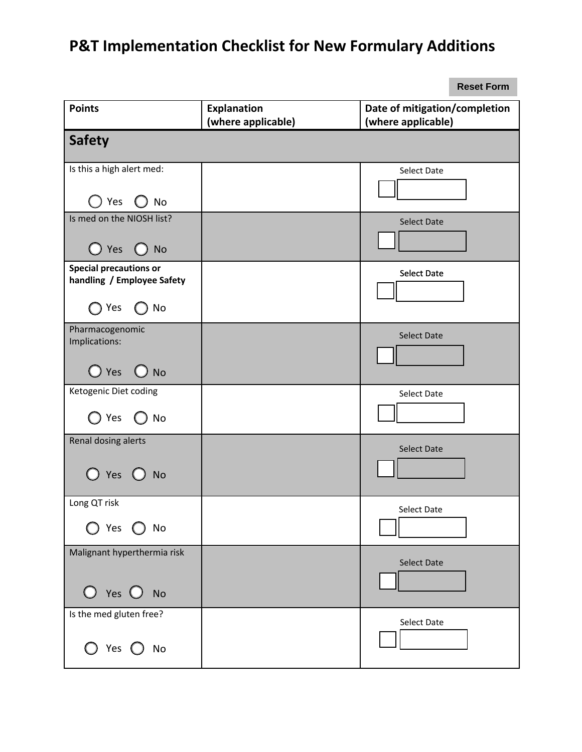## **P&T Implementation Checklist for New Formulary Additions**

|                                                             |                    | <b>Reset Form</b>             |
|-------------------------------------------------------------|--------------------|-------------------------------|
| <b>Points</b>                                               | <b>Explanation</b> | Date of mitigation/completion |
|                                                             | (where applicable) | (where applicable)            |
| <b>Safety</b>                                               |                    |                               |
| Is this a high alert med:                                   |                    | Select Date                   |
| Yes $\bigcirc$ No                                           |                    |                               |
| Is med on the NIOSH list?                                   |                    | <b>Select Date</b>            |
| $\bigcirc$ Yes $\bigcirc$ No                                |                    |                               |
| <b>Special precautions or</b><br>handling / Employee Safety |                    | <b>Select Date</b>            |
| $\bigcirc$ No<br>Yes                                        |                    |                               |
| Pharmacogenomic<br>Implications:                            |                    | <b>Select Date</b>            |
| $\bigcirc$ Yes $\bigcirc$ No                                |                    |                               |
| Ketogenic Diet coding                                       |                    | <b>Select Date</b>            |
| $\bigcirc$ Yes $\bigcirc$ No                                |                    |                               |
| Renal dosing alerts                                         |                    | <b>Select Date</b>            |
| $\bigcirc$ Yes $\bigcirc$<br><b>No</b>                      |                    |                               |
| Long QT risk                                                |                    | Select Date                   |
| Yes<br><b>No</b>                                            |                    |                               |
| Malignant hyperthermia risk<br>$O$ Yes $O$ No               |                    | <b>Select Date</b>            |
| Is the med gluten free?<br>$O$ Yes $O$ No                   |                    | Select Date                   |

**Reset Form**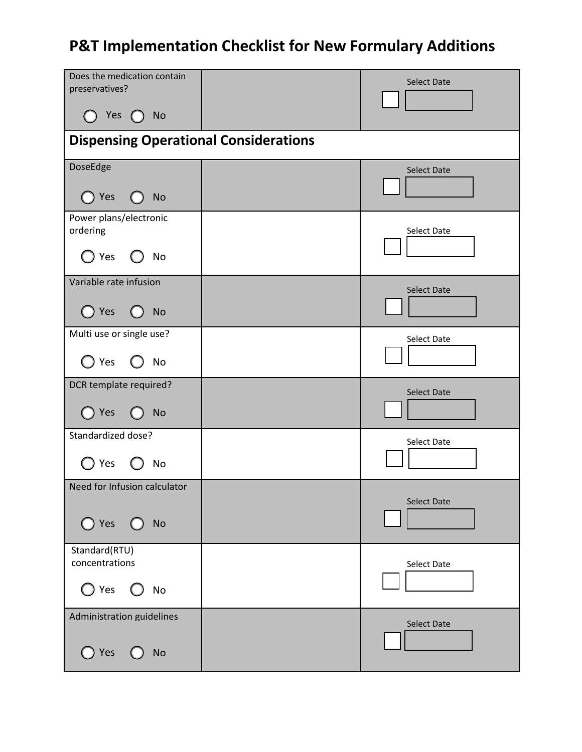## **P&T Implementation Checklist for New Formulary Additions**

| Does the medication contain<br>preservatives?<br>$\bigcap$ Yes $\bigcirc$<br><b>No</b> |  | <b>Select Date</b> |  |  |
|----------------------------------------------------------------------------------------|--|--------------------|--|--|
| <b>Dispensing Operational Considerations</b>                                           |  |                    |  |  |
| DoseEdge                                                                               |  | <b>Select Date</b> |  |  |
| $\bigcirc$ Yes<br><b>No</b>                                                            |  |                    |  |  |
| Power plans/electronic<br>ordering                                                     |  | Select Date        |  |  |
| $\bigcirc$ Yes<br>No                                                                   |  |                    |  |  |
| Variable rate infusion                                                                 |  | <b>Select Date</b> |  |  |
| $\bigcirc$ Yes<br>$\bigcirc$ No                                                        |  |                    |  |  |
| Multi use or single use?                                                               |  | Select Date        |  |  |
| ) Yes<br>No                                                                            |  |                    |  |  |
| DCR template required?                                                                 |  | Select Date        |  |  |
| $\bigcirc$ Yes<br><b>No</b>                                                            |  |                    |  |  |
| Standardized dose?                                                                     |  | Select Date        |  |  |
| Yes<br>No                                                                              |  |                    |  |  |
| Need for Infusion calculator                                                           |  |                    |  |  |
| $\bigcirc$ Yes<br>No                                                                   |  | <b>Select Date</b> |  |  |
| Standard(RTU)<br>concentrations                                                        |  | Select Date        |  |  |
| $\bigcirc$ Yes<br><b>No</b>                                                            |  |                    |  |  |
| Administration guidelines                                                              |  | <b>Select Date</b> |  |  |
| $\bigcirc$ Yes<br>No                                                                   |  |                    |  |  |